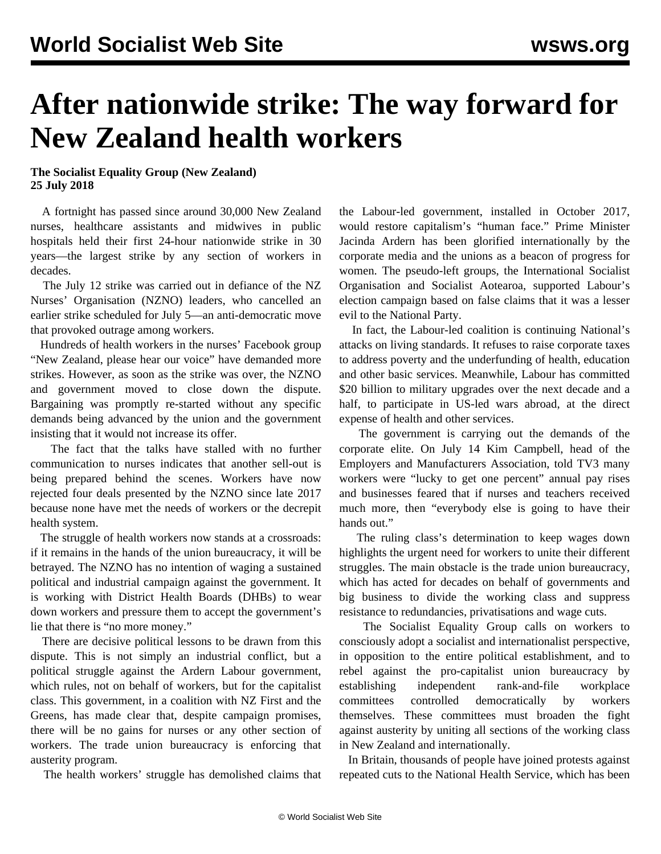## **After nationwide strike: The way forward for New Zealand health workers**

**The Socialist Equality Group (New Zealand) 25 July 2018**

 A fortnight has passed since around 30,000 New Zealand nurses, healthcare assistants and midwives in public hospitals held their first 24-hour nationwide strike in 30 years—the largest strike by any section of workers in decades.

 The July 12 strike was carried out in defiance of the NZ Nurses' Organisation (NZNO) leaders, who cancelled an earlier strike scheduled for July 5—an anti-democratic move that provoked outrage among workers.

 Hundreds of health workers in the nurses' Facebook group "New Zealand, please hear our voice" have demanded more strikes. However, as soon as the strike was over, the NZNO and government moved to close down the dispute. Bargaining was promptly re-started without any specific demands being advanced by the union and the government insisting that it would not increase its offer.

 The fact that the talks have stalled with no further communication to nurses indicates that another sell-out is being prepared behind the scenes. Workers have now rejected four deals presented by the NZNO since late 2017 because none have met the needs of workers or the decrepit health system.

 The struggle of health workers now stands at a crossroads: if it remains in the hands of the union bureaucracy, it will be betrayed. The NZNO has no intention of waging a sustained political and industrial campaign against the government. It is working with District Health Boards (DHBs) to wear down workers and pressure them to accept the government's lie that there is "no more money."

 There are decisive political lessons to be drawn from this dispute. This is not simply an industrial conflict, but a political struggle against the Ardern Labour government, which rules, not on behalf of workers, but for the capitalist class. This government, in a coalition with NZ First and the Greens, has made clear that, despite campaign promises, there will be no gains for nurses or any other section of workers. The trade union bureaucracy is enforcing that austerity program.

The health workers' struggle has demolished claims that

the Labour-led government, installed in October 2017, would restore capitalism's "human face." Prime Minister Jacinda Ardern has been glorified internationally by the corporate media and the unions as a beacon of progress for women. The pseudo-left groups, the International Socialist Organisation and Socialist Aotearoa, supported Labour's election campaign based on false claims that it was a lesser evil to the National Party.

 In fact, the Labour-led coalition is continuing National's attacks on living standards. It refuses to raise corporate taxes to address poverty and the underfunding of health, education and other basic services. Meanwhile, Labour has committed \$20 billion to military upgrades over the next decade and a half, to participate in US-led wars abroad, at the direct expense of health and other services.

 The government is carrying out the demands of the corporate elite. On July 14 Kim Campbell, head of the Employers and Manufacturers Association, told TV3 many workers were "lucky to get one percent" annual pay rises and businesses feared that if nurses and teachers received much more, then "everybody else is going to have their hands out."

 The ruling class's determination to keep wages down highlights the urgent need for workers to unite their different struggles. The main obstacle is the trade union bureaucracy, which has acted for decades on behalf of governments and big business to divide the working class and suppress resistance to redundancies, privatisations and wage cuts.

 The Socialist Equality Group calls on workers to consciously adopt a socialist and internationalist perspective, in opposition to the entire political establishment, and to rebel against the pro-capitalist union bureaucracy by establishing independent rank-and-file workplace committees controlled democratically by workers themselves. These committees must broaden the fight against austerity by uniting all sections of the working class in New Zealand and internationally.

 In Britain, thousands of people have joined protests against repeated cuts to the National Health Service, which has been